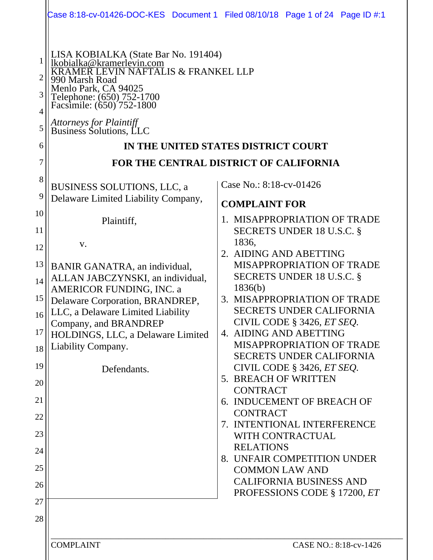| LISA KOBIALKA (State Bar No. 191404)<br>lkobialka@kramerlevin.com<br>EVIN NAFTALIS & FRANKEL LLP<br>0 Marsh Road<br>Menlo Park, CA 94025<br>Telephone: (650) 752-1700<br>Facsimile: (650) 752-1800                                                                       |                                                                                                                                                                                                                                                                                                                                                                                                                                                                                                                                                                                                                                 |  |
|--------------------------------------------------------------------------------------------------------------------------------------------------------------------------------------------------------------------------------------------------------------------------|---------------------------------------------------------------------------------------------------------------------------------------------------------------------------------------------------------------------------------------------------------------------------------------------------------------------------------------------------------------------------------------------------------------------------------------------------------------------------------------------------------------------------------------------------------------------------------------------------------------------------------|--|
| <i>Attorneys for Plaintiff</i><br>Business Solutions, LLC                                                                                                                                                                                                                |                                                                                                                                                                                                                                                                                                                                                                                                                                                                                                                                                                                                                                 |  |
| IN THE UNITED STATES DISTRICT COURT                                                                                                                                                                                                                                      |                                                                                                                                                                                                                                                                                                                                                                                                                                                                                                                                                                                                                                 |  |
| FOR THE CENTRAL DISTRICT OF CALIFORNIA                                                                                                                                                                                                                                   |                                                                                                                                                                                                                                                                                                                                                                                                                                                                                                                                                                                                                                 |  |
| BUSINESS SOLUTIONS, LLC, a<br>Delaware Limited Liability Company,                                                                                                                                                                                                        | Case No.: 8:18-cv-01426                                                                                                                                                                                                                                                                                                                                                                                                                                                                                                                                                                                                         |  |
| Plaintiff,<br>V.                                                                                                                                                                                                                                                         | <b>COMPLAINT FOR</b><br>1. MISAPPROPRIATION OF TRADE<br>SECRETS UNDER 18 U.S.C. §<br>1836,                                                                                                                                                                                                                                                                                                                                                                                                                                                                                                                                      |  |
| BANIR GANATRA, an individual,<br>ALLAN JABCZYNSKI, an individual,<br>AMERICOR FUNDING, INC. a<br>Delaware Corporation, BRANDREP,<br>LLC, a Delaware Limited Liability<br>Company, and BRANDREP<br>HOLDINGS, LLC, a Delaware Limited<br>Liability Company.<br>Defendants. | 2. AIDING AND ABETTING<br><b>MISAPPROPRIATION OF TRADE</b><br>SECRETS UNDER 18 U.S.C. §<br>1836(b)<br>3. MISAPPROPRIATION OF TRADE<br><b>SECRETS UNDER CALIFORNIA</b><br>CIVIL CODE § 3426, ET SEQ.<br>4. AIDING AND ABETTING<br><b>MISAPPROPRIATION OF TRADE</b><br><b>SECRETS UNDER CALIFORNIA</b><br>CIVIL CODE § 3426, ET SEQ.<br>5. BREACH OF WRITTEN<br><b>CONTRACT</b><br>6. INDUCEMENT OF BREACH OF<br><b>CONTRACT</b><br>7. INTENTIONAL INTERFERENCE<br>WITH CONTRACTUAL<br><b>RELATIONS</b><br>8. UNFAIR COMPETITION UNDER<br><b>COMMON LAW AND</b><br><b>CALIFORNIA BUSINESS AND</b><br>PROFESSIONS CODE § 17200, ET |  |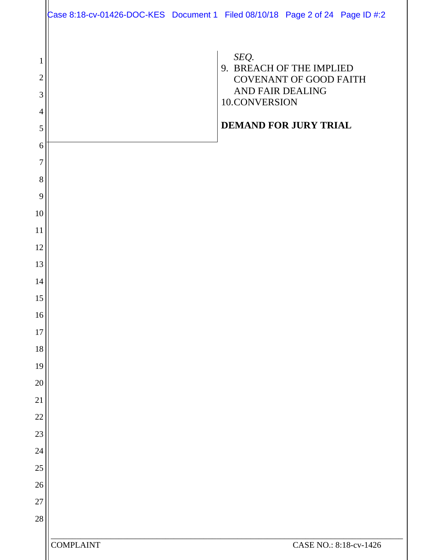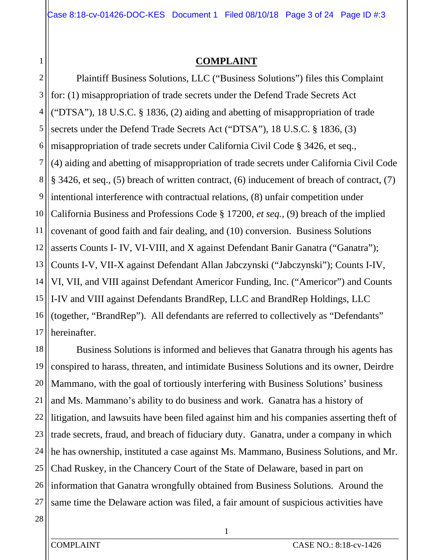# **COMPLAINT**

2 3 4 5 6 7 8 9 10 11 12 13 14 15 16 17 Plaintiff Business Solutions, LLC ("Business Solutions") files this Complaint for: (1) misappropriation of trade secrets under the Defend Trade Secrets Act ("DTSA"), 18 U.S.C. § 1836, (2) aiding and abetting of misappropriation of trade secrets under the Defend Trade Secrets Act ("DTSA"), 18 U.S.C. § 1836, (3) misappropriation of trade secrets under California Civil Code § 3426, et seq., (4) aiding and abetting of misappropriation of trade secrets under California Civil Code § 3426, et seq., (5) breach of written contract, (6) inducement of breach of contract, (7) intentional interference with contractual relations, (8) unfair competition under California Business and Professions Code § 17200, *et seq.*, (9) breach of the implied covenant of good faith and fair dealing, and (10) conversion. Business Solutions asserts Counts I- IV, VI-VIII, and X against Defendant Banir Ganatra ("Ganatra"); Counts I-V, VII-X against Defendant Allan Jabczynski ("Jabczynski"); Counts I-IV, VI, VII, and VIII against Defendant Americor Funding, Inc. ("Americor") and Counts I-IV and VIII against Defendants BrandRep, LLC and BrandRep Holdings, LLC (together, "BrandRep"). All defendants are referred to collectively as "Defendants" hereinafter.

18 19 20 21 22 23 24 25 26 27 Business Solutions is informed and believes that Ganatra through his agents has conspired to harass, threaten, and intimidate Business Solutions and its owner, Deirdre Mammano, with the goal of tortiously interfering with Business Solutions' business and Ms. Mammano's ability to do business and work. Ganatra has a history of litigation, and lawsuits have been filed against him and his companies asserting theft of trade secrets, fraud, and breach of fiduciary duty. Ganatra, under a company in which he has ownership, instituted a case against Ms. Mammano, Business Solutions, and Mr. Chad Ruskey, in the Chancery Court of the State of Delaware, based in part on information that Ganatra wrongfully obtained from Business Solutions. Around the same time the Delaware action was filed, a fair amount of suspicious activities have

28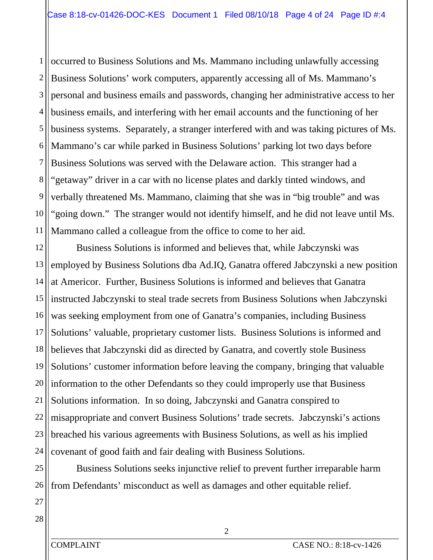1 2 3 4 5 6 7 8 9 10 11 occurred to Business Solutions and Ms. Mammano including unlawfully accessing Business Solutions' work computers, apparently accessing all of Ms. Mammano's personal and business emails and passwords, changing her administrative access to her business emails, and interfering with her email accounts and the functioning of her business systems. Separately, a stranger interfered with and was taking pictures of Ms. Mammano's car while parked in Business Solutions' parking lot two days before Business Solutions was served with the Delaware action. This stranger had a "getaway" driver in a car with no license plates and darkly tinted windows, and verbally threatened Ms. Mammano, claiming that she was in "big trouble" and was "going down." The stranger would not identify himself, and he did not leave until Ms. Mammano called a colleague from the office to come to her aid.

12 13 14 15 16 17 18 19 20 information to the other Defendants so they could improperly use that Business 21 22 23 24 Business Solutions is informed and believes that, while Jabczynski was employed by Business Solutions dba Ad.IQ, Ganatra offered Jabczynski a new position at Americor. Further, Business Solutions is informed and believes that Ganatra instructed Jabczynski to steal trade secrets from Business Solutions when Jabczynski was seeking employment from one of Ganatra's companies, including Business Solutions' valuable, proprietary customer lists. Business Solutions is informed and believes that Jabczynski did as directed by Ganatra, and covertly stole Business Solutions' customer information before leaving the company, bringing that valuable Solutions information. In so doing, Jabczynski and Ganatra conspired to misappropriate and convert Business Solutions' trade secrets. Jabczynski's actions breached his various agreements with Business Solutions, as well as his implied covenant of good faith and fair dealing with Business Solutions.

25 26 Business Solutions seeks injunctive relief to prevent further irreparable harm from Defendants' misconduct as well as damages and other equitable relief.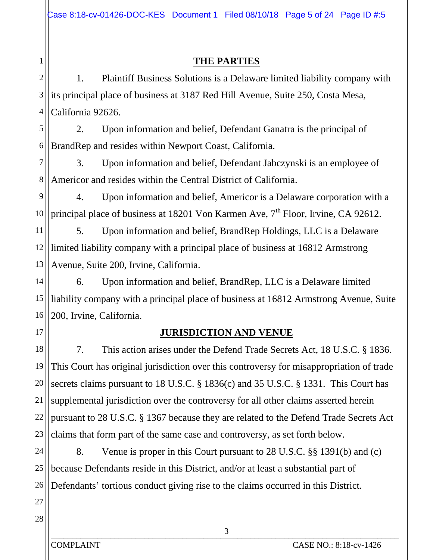# **THE PARTIES**

2 3 4 1. Plaintiff Business Solutions is a Delaware limited liability company with its principal place of business at 3187 Red Hill Avenue, Suite 250, Costa Mesa, California 92626.

5 6 2. Upon information and belief, Defendant Ganatra is the principal of BrandRep and resides within Newport Coast, California.

7 8 3. Upon information and belief, Defendant Jabczynski is an employee of Americor and resides within the Central District of California.

9 10 4. Upon information and belief, Americor is a Delaware corporation with a principal place of business at 18201 Von Karmen Ave, 7<sup>th</sup> Floor, Irvine, CA 92612.

11 12 13 5. Upon information and belief, BrandRep Holdings, LLC is a Delaware limited liability company with a principal place of business at 16812 Armstrong Avenue, Suite 200, Irvine, California.

14 15 16 6. Upon information and belief, BrandRep, LLC is a Delaware limited liability company with a principal place of business at 16812 Armstrong Avenue, Suite 200, Irvine, California.

17

1

## **JURISDICTION AND VENUE**

18 19 20 21 22 23 7. This action arises under the Defend Trade Secrets Act, 18 U.S.C. § 1836. This Court has original jurisdiction over this controversy for misappropriation of trade secrets claims pursuant to 18 U.S.C. § 1836(c) and 35 U.S.C. § 1331. This Court has supplemental jurisdiction over the controversy for all other claims asserted herein pursuant to 28 U.S.C. § 1367 because they are related to the Defend Trade Secrets Act claims that form part of the same case and controversy, as set forth below.

24 25 26 8. Venue is proper in this Court pursuant to 28 U.S.C. §§ 1391(b) and (c) because Defendants reside in this District, and/or at least a substantial part of Defendants' tortious conduct giving rise to the claims occurred in this District.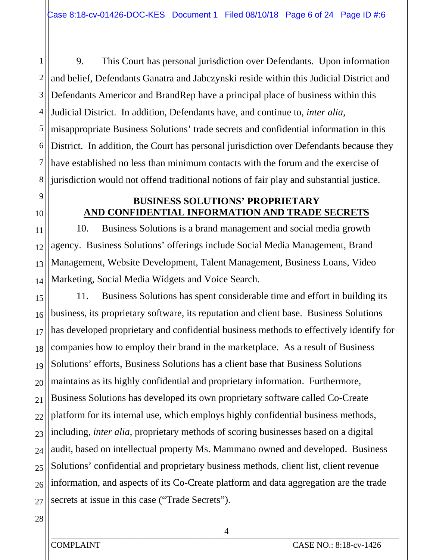1 2 3 4 5 6 7 8 9. This Court has personal jurisdiction over Defendants. Upon information and belief, Defendants Ganatra and Jabczynski reside within this Judicial District and Defendants Americor and BrandRep have a principal place of business within this Judicial District. In addition, Defendants have, and continue to, *inter alia*, misappropriate Business Solutions' trade secrets and confidential information in this District. In addition, the Court has personal jurisdiction over Defendants because they have established no less than minimum contacts with the forum and the exercise of jurisdiction would not offend traditional notions of fair play and substantial justice.

9 10

11

12

13

14

# **BUSINESS SOLUTIONS' PROPRIETARY AND CONFIDENTIAL INFORMATION AND TRADE SECRETS**

10. Business Solutions is a brand management and social media growth agency. Business Solutions' offerings include Social Media Management, Brand Management, Website Development, Talent Management, Business Loans, Video Marketing, Social Media Widgets and Voice Search.

15 16 17 18 19 20 21 22 23 24 25 26 27 11. Business Solutions has spent considerable time and effort in building its business, its proprietary software, its reputation and client base. Business Solutions has developed proprietary and confidential business methods to effectively identify for companies how to employ their brand in the marketplace. As a result of Business Solutions' efforts, Business Solutions has a client base that Business Solutions maintains as its highly confidential and proprietary information. Furthermore, Business Solutions has developed its own proprietary software called Co-Create platform for its internal use, which employs highly confidential business methods, including, *inter alia*, proprietary methods of scoring businesses based on a digital audit, based on intellectual property Ms. Mammano owned and developed. Business Solutions' confidential and proprietary business methods, client list, client revenue information, and aspects of its Co-Create platform and data aggregation are the trade secrets at issue in this case ("Trade Secrets").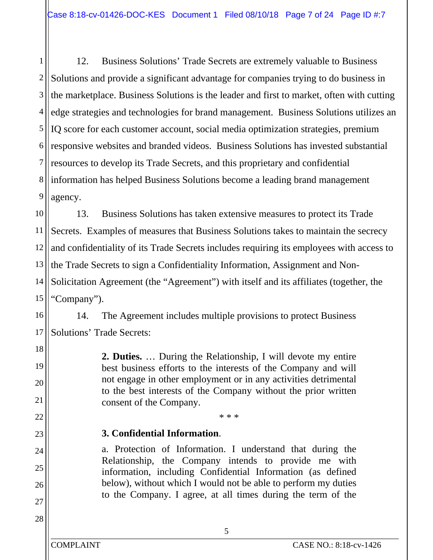1 2 3 4 5 6 7 8 9 12. Business Solutions' Trade Secrets are extremely valuable to Business Solutions and provide a significant advantage for companies trying to do business in the marketplace. Business Solutions is the leader and first to market, often with cutting edge strategies and technologies for brand management. Business Solutions utilizes an IQ score for each customer account, social media optimization strategies, premium responsive websites and branded videos. Business Solutions has invested substantial resources to develop its Trade Secrets, and this proprietary and confidential information has helped Business Solutions become a leading brand management agency.

10 11 12 13 14 15 13. Business Solutions has taken extensive measures to protect its Trade Secrets. Examples of measures that Business Solutions takes to maintain the secrecy and confidentiality of its Trade Secrets includes requiring its employees with access to the Trade Secrets to sign a Confidentiality Information, Assignment and Non-Solicitation Agreement (the "Agreement") with itself and its affiliates (together, the "Company").

16 17 14. The Agreement includes multiple provisions to protect Business Solutions' Trade Secrets:

> **2. Duties.** … During the Relationship, I will devote my entire best business efforts to the interests of the Company and will not engage in other employment or in any activities detrimental to the best interests of the Company without the prior written consent of the Company.

> > \* \* \*

# **3. Confidential Information**.

a. Protection of Information. I understand that during the Relationship, the Company intends to provide me with information, including Confidential Information (as defined below), without which I would not be able to perform my duties to the Company. I agree, at all times during the term of the

18

19

20

21

22

23

24

25

26

27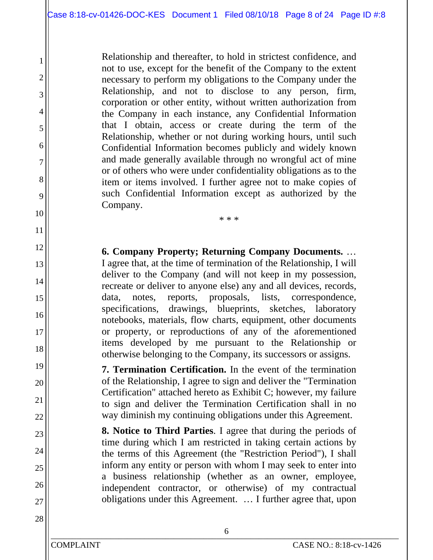Relationship and thereafter, to hold in strictest confidence, and not to use, except for the benefit of the Company to the extent necessary to perform my obligations to the Company under the Relationship, and not to disclose to any person, firm, corporation or other entity, without written authorization from the Company in each instance, any Confidential Information that I obtain, access or create during the term of the Relationship, whether or not during working hours, until such Confidential Information becomes publicly and widely known and made generally available through no wrongful act of mine or of others who were under confidentiality obligations as to the item or items involved. I further agree not to make copies of such Confidential Information except as authorized by the Company.

**6. Company Property; Returning Company Documents.** … I agree that, at the time of termination of the Relationship, I will deliver to the Company (and will not keep in my possession, recreate or deliver to anyone else) any and all devices, records, data, notes, reports, proposals, lists, correspondence, specifications, drawings, blueprints, sketches, laboratory notebooks, materials, flow charts, equipment, other documents or property, or reproductions of any of the aforementioned items developed by me pursuant to the Relationship or otherwise belonging to the Company, its successors or assigns.

\* \* \*

**7. Termination Certification.** In the event of the termination of the Relationship, I agree to sign and deliver the "Termination Certification" attached hereto as Exhibit C; however, my failure to sign and deliver the Termination Certification shall in no way diminish my continuing obligations under this Agreement.

**8. Notice to Third Parties**. I agree that during the periods of time during which I am restricted in taking certain actions by the terms of this Agreement (the "Restriction Period"), I shall inform any entity or person with whom I may seek to enter into a business relationship (whether as an owner, employee, independent contractor, or otherwise) of my contractual obligations under this Agreement. … I further agree that, upon

1

2

3

4

5

6

7

8

9

10

11

12

13

14

15

16

17

18

19

20

21

22

23

24

25

26

27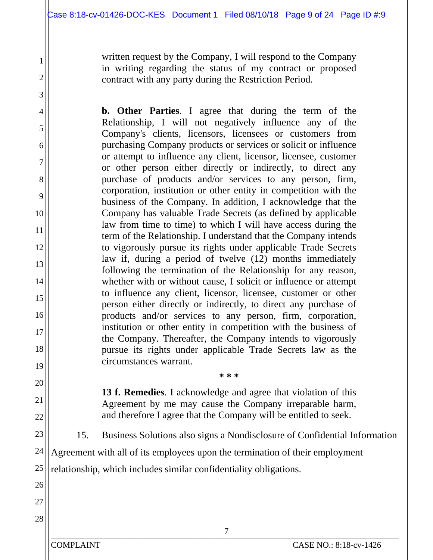written request by the Company, I will respond to the Company in writing regarding the status of my contract or proposed contract with any party during the Restriction Period.

**b. Other Parties**. I agree that during the term of the Relationship, I will not negatively influence any of the Company's clients, licensors, licensees or customers from purchasing Company products or services or solicit or influence or attempt to influence any client, licensor, licensee, customer or other person either directly or indirectly, to direct any purchase of products and/or services to any person, firm, corporation, institution or other entity in competition with the business of the Company. In addition, I acknowledge that the Company has valuable Trade Secrets (as defined by applicable law from time to time) to which I will have access during the term of the Relationship. I understand that the Company intends to vigorously pursue its rights under applicable Trade Secrets law if, during a period of twelve (12) months immediately following the termination of the Relationship for any reason, whether with or without cause, I solicit or influence or attempt to influence any client, licensor, licensee, customer or other person either directly or indirectly, to direct any purchase of products and/or services to any person, firm, corporation, institution or other entity in competition with the business of the Company. Thereafter, the Company intends to vigorously pursue its rights under applicable Trade Secrets law as the circumstances warrant.

> **13 f. Remedies**. I acknowledge and agree that violation of this Agreement by me may cause the Company irreparable harm, and therefore I agree that the Company will be entitled to seek.

**\* \* \*** 

15. Business Solutions also signs a Nondisclosure of Confidential Information

24 Agreement with all of its employees upon the termination of their employment

25 relationship, which includes similar confidentiality obligations.

26 27 28

1

2

3

4

5

6

7

8

9

10

11

12

13

14

15

16

17

18

19

20

21

22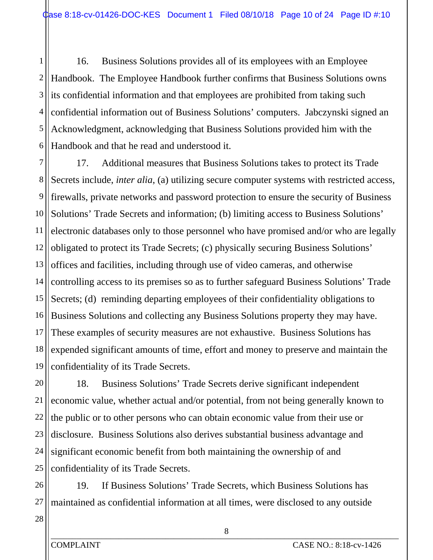1 2 3 4 5 6 16. Business Solutions provides all of its employees with an Employee Handbook. The Employee Handbook further confirms that Business Solutions owns its confidential information and that employees are prohibited from taking such confidential information out of Business Solutions' computers. Jabczynski signed an Acknowledgment, acknowledging that Business Solutions provided him with the Handbook and that he read and understood it.

7 8 Secrets include, *inter alia*, (a) utilizing secure computer systems with restricted access, 9 10 11 12 13 14 15 16 17 18 19 17. Additional measures that Business Solutions takes to protect its Trade firewalls, private networks and password protection to ensure the security of Business Solutions' Trade Secrets and information; (b) limiting access to Business Solutions' electronic databases only to those personnel who have promised and/or who are legally obligated to protect its Trade Secrets; (c) physically securing Business Solutions' offices and facilities, including through use of video cameras, and otherwise controlling access to its premises so as to further safeguard Business Solutions' Trade Secrets; (d) reminding departing employees of their confidentiality obligations to Business Solutions and collecting any Business Solutions property they may have. These examples of security measures are not exhaustive. Business Solutions has expended significant amounts of time, effort and money to preserve and maintain the confidentiality of its Trade Secrets.

20 21 22 23 24 25 18. Business Solutions' Trade Secrets derive significant independent economic value, whether actual and/or potential, from not being generally known to the public or to other persons who can obtain economic value from their use or disclosure. Business Solutions also derives substantial business advantage and significant economic benefit from both maintaining the ownership of and confidentiality of its Trade Secrets.

26 27 19. If Business Solutions' Trade Secrets, which Business Solutions has maintained as confidential information at all times, were disclosed to any outside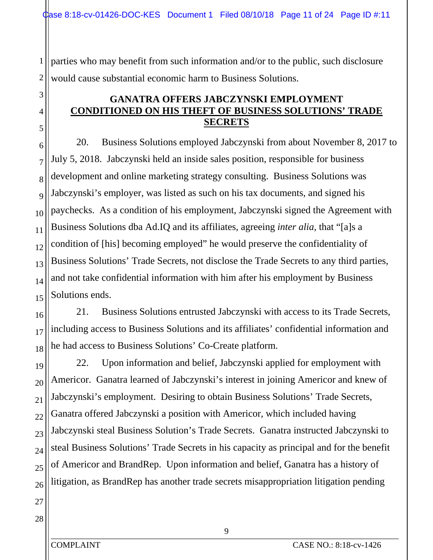1 2 parties who may benefit from such information and/or to the public, such disclosure would cause substantial economic harm to Business Solutions.

# **GANATRA OFFERS JABCZYNSKI EMPLOYMENT CONDITIONED ON HIS THEFT OF BUSINESS SOLUTIONS' TRADE SECRETS**

6 7 8 9 10 11 12 13 14 15 20. Business Solutions employed Jabczynski from about November 8, 2017 to July 5, 2018. Jabczynski held an inside sales position, responsible for business development and online marketing strategy consulting. Business Solutions was Jabczynski's employer, was listed as such on his tax documents, and signed his paychecks. As a condition of his employment, Jabczynski signed the Agreement with Business Solutions dba Ad.IQ and its affiliates, agreeing *inter alia*, that "[a]s a condition of [his] becoming employed" he would preserve the confidentiality of Business Solutions' Trade Secrets, not disclose the Trade Secrets to any third parties, and not take confidential information with him after his employment by Business Solutions ends.

16 17 18 21. Business Solutions entrusted Jabczynski with access to its Trade Secrets, including access to Business Solutions and its affiliates' confidential information and he had access to Business Solutions' Co-Create platform.

19 20 21 22 23 24 25 26 22. Upon information and belief, Jabczynski applied for employment with Americor. Ganatra learned of Jabczynski's interest in joining Americor and knew of Jabczynski's employment. Desiring to obtain Business Solutions' Trade Secrets, Ganatra offered Jabczynski a position with Americor, which included having Jabczynski steal Business Solution's Trade Secrets. Ganatra instructed Jabczynski to steal Business Solutions' Trade Secrets in his capacity as principal and for the benefit of Americor and BrandRep. Upon information and belief, Ganatra has a history of litigation, as BrandRep has another trade secrets misappropriation litigation pending

27 28

3

4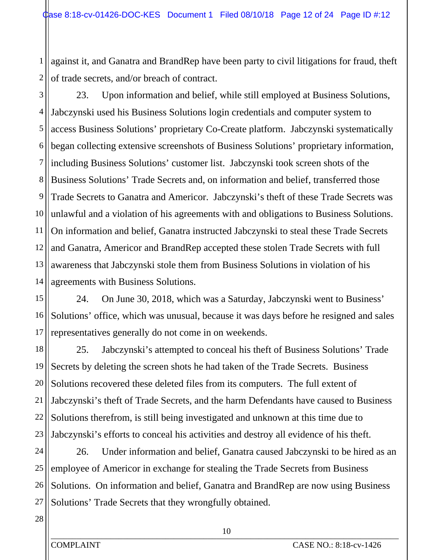1 2 against it, and Ganatra and BrandRep have been party to civil litigations for fraud, theft of trade secrets, and/or breach of contract.

3 4 5 6 7 8 9 10 11 12 13 14 23. Upon information and belief, while still employed at Business Solutions, Jabczynski used his Business Solutions login credentials and computer system to access Business Solutions' proprietary Co-Create platform. Jabczynski systematically began collecting extensive screenshots of Business Solutions' proprietary information, including Business Solutions' customer list. Jabczynski took screen shots of the Business Solutions' Trade Secrets and, on information and belief, transferred those Trade Secrets to Ganatra and Americor. Jabczynski's theft of these Trade Secrets was unlawful and a violation of his agreements with and obligations to Business Solutions. On information and belief, Ganatra instructed Jabczynski to steal these Trade Secrets and Ganatra, Americor and BrandRep accepted these stolen Trade Secrets with full awareness that Jabczynski stole them from Business Solutions in violation of his agreements with Business Solutions.

15 16 17 24. On June 30, 2018, which was a Saturday, Jabczynski went to Business' Solutions' office, which was unusual, because it was days before he resigned and sales representatives generally do not come in on weekends.

18 19 20 21 22 23 25. Jabczynski's attempted to conceal his theft of Business Solutions' Trade Secrets by deleting the screen shots he had taken of the Trade Secrets. Business Solutions recovered these deleted files from its computers. The full extent of Jabczynski's theft of Trade Secrets, and the harm Defendants have caused to Business Solutions therefrom, is still being investigated and unknown at this time due to Jabczynski's efforts to conceal his activities and destroy all evidence of his theft.

24 25 26 27 26. Under information and belief, Ganatra caused Jabczynski to be hired as an employee of Americor in exchange for stealing the Trade Secrets from Business Solutions. On information and belief, Ganatra and BrandRep are now using Business Solutions' Trade Secrets that they wrongfully obtained.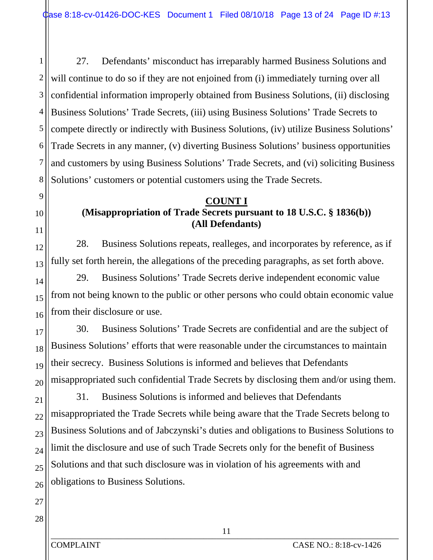1 2 3 4 5 6 7 8 27. Defendants' misconduct has irreparably harmed Business Solutions and will continue to do so if they are not enjoined from (i) immediately turning over all confidential information improperly obtained from Business Solutions, (ii) disclosing Business Solutions' Trade Secrets, (iii) using Business Solutions' Trade Secrets to compete directly or indirectly with Business Solutions, (iv) utilize Business Solutions' Trade Secrets in any manner, (v) diverting Business Solutions' business opportunities and customers by using Business Solutions' Trade Secrets, and (vi) soliciting Business Solutions' customers or potential customers using the Trade Secrets.

# **COUNT I**

# **(Misappropriation of Trade Secrets pursuant to 18 U.S.C. § 1836(b)) (All Defendants)**

28. Business Solutions repeats, realleges, and incorporates by reference, as if fully set forth herein, the allegations of the preceding paragraphs, as set forth above.

16 29. Business Solutions' Trade Secrets derive independent economic value from not being known to the public or other persons who could obtain economic value from their disclosure or use.

17 18 19 20 30. Business Solutions' Trade Secrets are confidential and are the subject of Business Solutions' efforts that were reasonable under the circumstances to maintain their secrecy. Business Solutions is informed and believes that Defendants misappropriated such confidential Trade Secrets by disclosing them and/or using them.

21 22 23 24 25 26 31. Business Solutions is informed and believes that Defendants misappropriated the Trade Secrets while being aware that the Trade Secrets belong to Business Solutions and of Jabczynski's duties and obligations to Business Solutions to limit the disclosure and use of such Trade Secrets only for the benefit of Business Solutions and that such disclosure was in violation of his agreements with and obligations to Business Solutions.

27 28

9

10

11

12

13

14

15

COMPLAINT CASE NO.: 8:18-cv-1426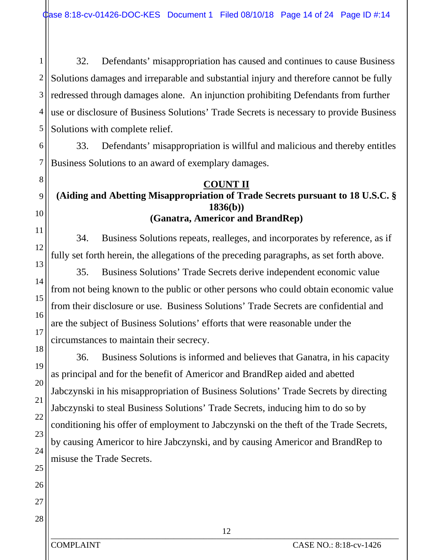1 2 3 4 5 32. Defendants' misappropriation has caused and continues to cause Business Solutions damages and irreparable and substantial injury and therefore cannot be fully redressed through damages alone. An injunction prohibiting Defendants from further use or disclosure of Business Solutions' Trade Secrets is necessary to provide Business Solutions with complete relief.

6 7 33. Defendants' misappropriation is willful and malicious and thereby entitles Business Solutions to an award of exemplary damages.

#### **COUNT II**

# **(Aiding and Abetting Misappropriation of Trade Secrets pursuant to 18 U.S.C. § 1836(b))**

# **(Ganatra, Americor and BrandRep)**

34. Business Solutions repeats, realleges, and incorporates by reference, as if fully set forth herein, the allegations of the preceding paragraphs, as set forth above.

35. Business Solutions' Trade Secrets derive independent economic value from not being known to the public or other persons who could obtain economic value from their disclosure or use. Business Solutions' Trade Secrets are confidential and are the subject of Business Solutions' efforts that were reasonable under the circumstances to maintain their secrecy.

36. Business Solutions is informed and believes that Ganatra, in his capacity as principal and for the benefit of Americor and BrandRep aided and abetted Jabczynski in his misappropriation of Business Solutions' Trade Secrets by directing Jabczynski to steal Business Solutions' Trade Secrets, inducing him to do so by conditioning his offer of employment to Jabczynski on the theft of the Trade Secrets, by causing Americor to hire Jabczynski, and by causing Americor and BrandRep to misuse the Trade Secrets.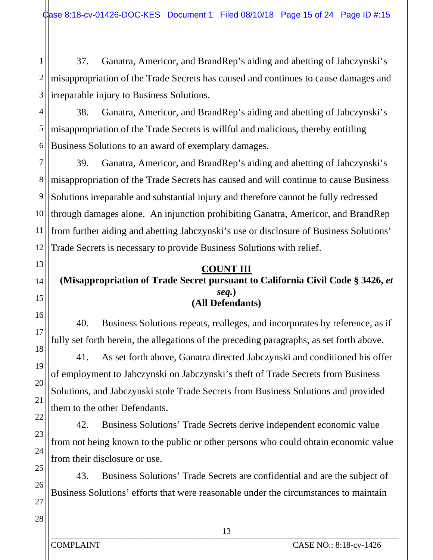1 2 3 37. Ganatra, Americor, and BrandRep's aiding and abetting of Jabczynski's misappropriation of the Trade Secrets has caused and continues to cause damages and irreparable injury to Business Solutions.

4 5 6 38. Ganatra, Americor, and BrandRep's aiding and abetting of Jabczynski's misappropriation of the Trade Secrets is willful and malicious, thereby entitling Business Solutions to an award of exemplary damages.

7 8 9 10 11 12 39. Ganatra, Americor, and BrandRep's aiding and abetting of Jabczynski's misappropriation of the Trade Secrets has caused and will continue to cause Business Solutions irreparable and substantial injury and therefore cannot be fully redressed through damages alone. An injunction prohibiting Ganatra, Americor, and BrandRep from further aiding and abetting Jabczynski's use or disclosure of Business Solutions' Trade Secrets is necessary to provide Business Solutions with relief.

#### **COUNT III**

#### **(Misappropriation of Trade Secret pursuant to California Civil Code § 3426,** *et seq.***) (All Defendants)**

40. Business Solutions repeats, realleges, and incorporates by reference, as if fully set forth herein, the allegations of the preceding paragraphs, as set forth above.

41. As set forth above, Ganatra directed Jabczynski and conditioned his offer of employment to Jabczynski on Jabczynski's theft of Trade Secrets from Business Solutions, and Jabczynski stole Trade Secrets from Business Solutions and provided them to the other Defendants.

42. Business Solutions' Trade Secrets derive independent economic value from not being known to the public or other persons who could obtain economic value from their disclosure or use.

43. Business Solutions' Trade Secrets are confidential and are the subject of Business Solutions' efforts that were reasonable under the circumstances to maintain

28

13

14

15

16

17

18

19

20

21

22

23

24

25

26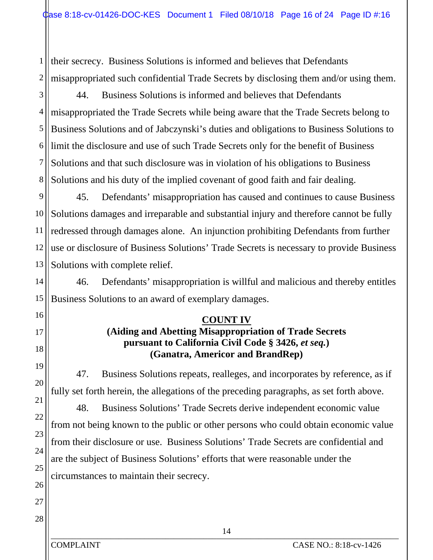1 2 their secrecy. Business Solutions is informed and believes that Defendants misappropriated such confidential Trade Secrets by disclosing them and/or using them.

3 4 5 6 7 8 44. Business Solutions is informed and believes that Defendants misappropriated the Trade Secrets while being aware that the Trade Secrets belong to Business Solutions and of Jabczynski's duties and obligations to Business Solutions to limit the disclosure and use of such Trade Secrets only for the benefit of Business Solutions and that such disclosure was in violation of his obligations to Business Solutions and his duty of the implied covenant of good faith and fair dealing.

9 10 11 12 13 45. Defendants' misappropriation has caused and continues to cause Business Solutions damages and irreparable and substantial injury and therefore cannot be fully redressed through damages alone. An injunction prohibiting Defendants from further use or disclosure of Business Solutions' Trade Secrets is necessary to provide Business Solutions with complete relief.

14 15 46. Defendants' misappropriation is willful and malicious and thereby entitles Business Solutions to an award of exemplary damages.

#### **COUNT IV**

# **(Aiding and Abetting Misappropriation of Trade Secrets pursuant to California Civil Code § 3426,** *et seq.***) (Ganatra, Americor and BrandRep)**

47. Business Solutions repeats, realleges, and incorporates by reference, as if fully set forth herein, the allegations of the preceding paragraphs, as set forth above.

48. Business Solutions' Trade Secrets derive independent economic value from not being known to the public or other persons who could obtain economic value from their disclosure or use. Business Solutions' Trade Secrets are confidential and are the subject of Business Solutions' efforts that were reasonable under the circumstances to maintain their secrecy.

27 28

16

17

18

19

20

21

22

23

24

25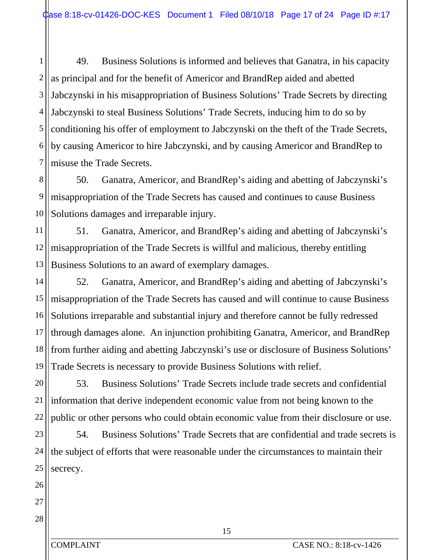1 2 3 4 5 6 7 49. Business Solutions is informed and believes that Ganatra, in his capacity as principal and for the benefit of Americor and BrandRep aided and abetted Jabczynski in his misappropriation of Business Solutions' Trade Secrets by directing Jabczynski to steal Business Solutions' Trade Secrets, inducing him to do so by conditioning his offer of employment to Jabczynski on the theft of the Trade Secrets, by causing Americor to hire Jabczynski, and by causing Americor and BrandRep to misuse the Trade Secrets.

8 9 10 50. Ganatra, Americor, and BrandRep's aiding and abetting of Jabczynski's misappropriation of the Trade Secrets has caused and continues to cause Business Solutions damages and irreparable injury.

11 12 13 51. Ganatra, Americor, and BrandRep's aiding and abetting of Jabczynski's misappropriation of the Trade Secrets is willful and malicious, thereby entitling Business Solutions to an award of exemplary damages.

14 15 16 17 18 19 52. Ganatra, Americor, and BrandRep's aiding and abetting of Jabczynski's misappropriation of the Trade Secrets has caused and will continue to cause Business Solutions irreparable and substantial injury and therefore cannot be fully redressed through damages alone. An injunction prohibiting Ganatra, Americor, and BrandRep from further aiding and abetting Jabczynski's use or disclosure of Business Solutions' Trade Secrets is necessary to provide Business Solutions with relief.

20 21 22 53. Business Solutions' Trade Secrets include trade secrets and confidential information that derive independent economic value from not being known to the public or other persons who could obtain economic value from their disclosure or use.

23 24 25 54. Business Solutions' Trade Secrets that are confidential and trade secrets is the subject of efforts that were reasonable under the circumstances to maintain their secrecy.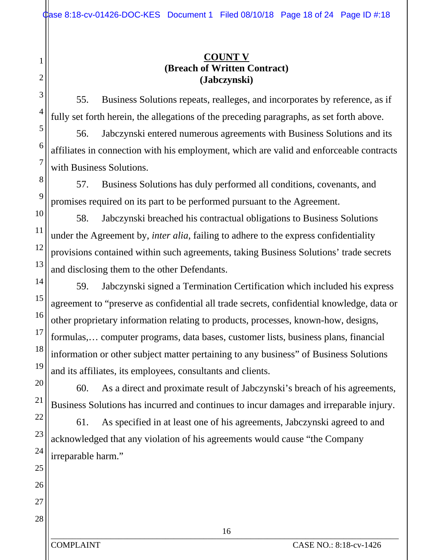# **COUNT V (Breach of Written Contract) (Jabczynski)**

55. Business Solutions repeats, realleges, and incorporates by reference, as if fully set forth herein, the allegations of the preceding paragraphs, as set forth above.

56. Jabczynski entered numerous agreements with Business Solutions and its affiliates in connection with his employment, which are valid and enforceable contracts with Business Solutions.

57. Business Solutions has duly performed all conditions, covenants, and promises required on its part to be performed pursuant to the Agreement.

58. Jabczynski breached his contractual obligations to Business Solutions under the Agreement by, *inter alia*, failing to adhere to the express confidentiality provisions contained within such agreements, taking Business Solutions' trade secrets and disclosing them to the other Defendants.

59. Jabczynski signed a Termination Certification which included his express agreement to "preserve as confidential all trade secrets, confidential knowledge, data or other proprietary information relating to products, processes, known-how, designs, formulas,… computer programs, data bases, customer lists, business plans, financial information or other subject matter pertaining to any business" of Business Solutions and its affiliates, its employees, consultants and clients.

60. As a direct and proximate result of Jabczynski's breach of his agreements, Business Solutions has incurred and continues to incur damages and irreparable injury.

61. As specified in at least one of his agreements, Jabczynski agreed to and acknowledged that any violation of his agreements would cause "the Company irreparable harm."

1

2

3

4

5

COMPLAINT CASE NO.: 8:18-cv-1426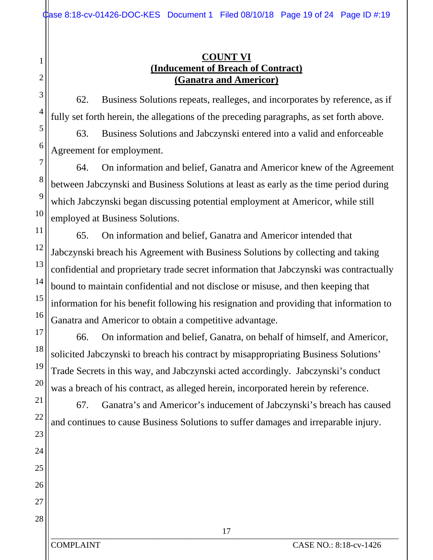### **COUNT VI (Inducement of Breach of Contract) (Ganatra and Americor)**

62. Business Solutions repeats, realleges, and incorporates by reference, as if fully set forth herein, the allegations of the preceding paragraphs, as set forth above.

63. Business Solutions and Jabczynski entered into a valid and enforceable Agreement for employment.

64. On information and belief, Ganatra and Americor knew of the Agreement between Jabczynski and Business Solutions at least as early as the time period during which Jabczynski began discussing potential employment at Americor, while still employed at Business Solutions.

12 13 16 65. On information and belief, Ganatra and Americor intended that Jabczynski breach his Agreement with Business Solutions by collecting and taking confidential and proprietary trade secret information that Jabczynski was contractually bound to maintain confidential and not disclose or misuse, and then keeping that information for his benefit following his resignation and providing that information to Ganatra and Americor to obtain a competitive advantage.

66. On information and belief, Ganatra, on behalf of himself, and Americor, solicited Jabczynski to breach his contract by misappropriating Business Solutions' Trade Secrets in this way, and Jabczynski acted accordingly. Jabczynski's conduct was a breach of his contract, as alleged herein, incorporated herein by reference.

67. Ganatra's and Americor's inducement of Jabczynski's breach has caused and continues to cause Business Solutions to suffer damages and irreparable injury.

26 27 28

1

2

3

4

5

6

7

8

9

10

11

14

15

17

18

19

20

21

22

23

24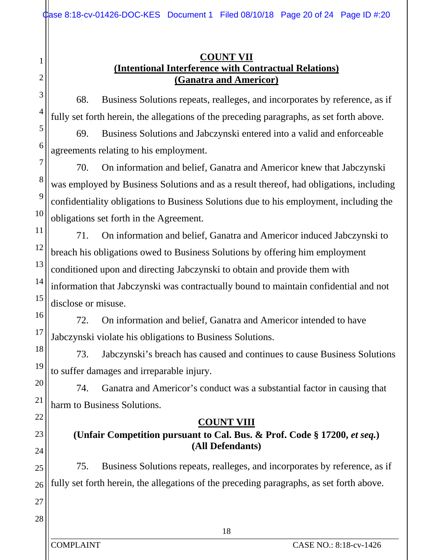## **COUNT VII (Intentional Interference with Contractual Relations) (Ganatra and Americor)**

68. Business Solutions repeats, realleges, and incorporates by reference, as if fully set forth herein, the allegations of the preceding paragraphs, as set forth above.

69. Business Solutions and Jabczynski entered into a valid and enforceable agreements relating to his employment.

70. On information and belief, Ganatra and Americor knew that Jabczynski was employed by Business Solutions and as a result thereof, had obligations, including confidentiality obligations to Business Solutions due to his employment, including the obligations set forth in the Agreement.

11 12 13 14 15 71. On information and belief, Ganatra and Americor induced Jabczynski to breach his obligations owed to Business Solutions by offering him employment conditioned upon and directing Jabczynski to obtain and provide them with information that Jabczynski was contractually bound to maintain confidential and not disclose or misuse.

72. On information and belief, Ganatra and Americor intended to have Jabczynski violate his obligations to Business Solutions.

18 19 73. Jabczynski's breach has caused and continues to cause Business Solutions to suffer damages and irreparable injury.

74. Ganatra and Americor's conduct was a substantial factor in causing that harm to Business Solutions.

# **COUNT VIII**

# **(Unfair Competition pursuant to Cal. Bus. & Prof. Code § 17200,** *et seq.***) (All Defendants)**

26 75. Business Solutions repeats, realleges, and incorporates by reference, as if fully set forth herein, the allegations of the preceding paragraphs, as set forth above.

28

27

1

2

3

4

5

6

7

8

9

10

16

17

20

21

22

23

24

25

 $_{10}$   $_{10}$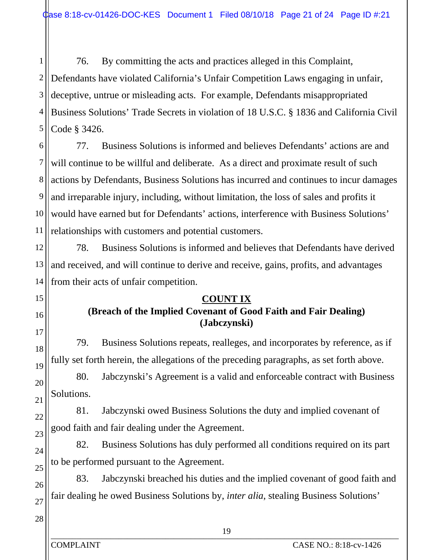1 2 3 4 5 76. By committing the acts and practices alleged in this Complaint, Defendants have violated California's Unfair Competition Laws engaging in unfair, deceptive, untrue or misleading acts. For example, Defendants misappropriated Business Solutions' Trade Secrets in violation of 18 U.S.C. § 1836 and California Civil Code § 3426.

6 7 8 9 10 11 77. Business Solutions is informed and believes Defendants' actions are and will continue to be willful and deliberate. As a direct and proximate result of such actions by Defendants, Business Solutions has incurred and continues to incur damages and irreparable injury, including, without limitation, the loss of sales and profits it would have earned but for Defendants' actions, interference with Business Solutions' relationships with customers and potential customers.

12 13 14 78. Business Solutions is informed and believes that Defendants have derived and received, and will continue to derive and receive, gains, profits, and advantages from their acts of unfair competition.

## **COUNT IX**

# **(Breach of the Implied Covenant of Good Faith and Fair Dealing) (Jabczynski)**

79. Business Solutions repeats, realleges, and incorporates by reference, as if fully set forth herein, the allegations of the preceding paragraphs, as set forth above.

80. Jabczynski's Agreement is a valid and enforceable contract with Business Solutions.

81. Jabczynski owed Business Solutions the duty and implied covenant of good faith and fair dealing under the Agreement.

82. Business Solutions has duly performed all conditions required on its part to be performed pursuant to the Agreement.

83. Jabczynski breached his duties and the implied covenant of good faith and fair dealing he owed Business Solutions by, *inter alia*, stealing Business Solutions'

28

15

16

17

18

19

20

21

22

23

24

25

26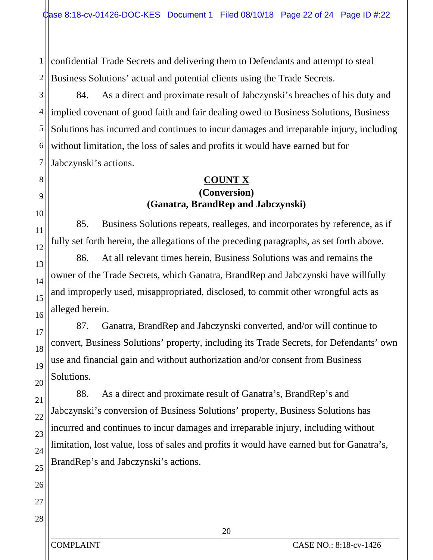1 2 confidential Trade Secrets and delivering them to Defendants and attempt to steal Business Solutions' actual and potential clients using the Trade Secrets.

3 4 5 6 7 84. As a direct and proximate result of Jabczynski's breaches of his duty and implied covenant of good faith and fair dealing owed to Business Solutions, Business Solutions has incurred and continues to incur damages and irreparable injury, including without limitation, the loss of sales and profits it would have earned but for Jabczynski's actions.

## **COUNT X (Conversion) (Ganatra, BrandRep and Jabczynski)**

85. Business Solutions repeats, realleges, and incorporates by reference, as if fully set forth herein, the allegations of the preceding paragraphs, as set forth above.

86. At all relevant times herein, Business Solutions was and remains the owner of the Trade Secrets, which Ganatra, BrandRep and Jabczynski have willfully and improperly used, misappropriated, disclosed, to commit other wrongful acts as alleged herein.

87. Ganatra, BrandRep and Jabczynski converted, and/or will continue to convert, Business Solutions' property, including its Trade Secrets, for Defendants' own use and financial gain and without authorization and/or consent from Business Solutions.

88. As a direct and proximate result of Ganatra's, BrandRep's and Jabczynski's conversion of Business Solutions' property, Business Solutions has incurred and continues to incur damages and irreparable injury, including without limitation, lost value, loss of sales and profits it would have earned but for Ganatra's, BrandRep's and Jabczynski's actions.

8

COMPLAINT CASE NO.: 8:18-cv-1426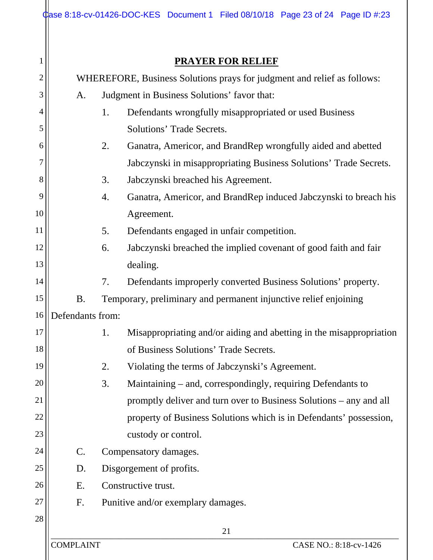|                |                                                                         | Case 8:18-cv-01426-DOC-KES Document 1 Filed 08/10/18 Page 23 of 24 Page ID #:23 |  |  |  |  |
|----------------|-------------------------------------------------------------------------|---------------------------------------------------------------------------------|--|--|--|--|
|                |                                                                         |                                                                                 |  |  |  |  |
|                | <b>PRAYER FOR RELIEF</b>                                                |                                                                                 |  |  |  |  |
| $\overline{c}$ | WHEREFORE, Business Solutions prays for judgment and relief as follows: |                                                                                 |  |  |  |  |
| 3              | A.                                                                      | Judgment in Business Solutions' favor that:                                     |  |  |  |  |
| 4              |                                                                         | 1.<br>Defendants wrongfully misappropriated or used Business                    |  |  |  |  |
| 5              |                                                                         | Solutions' Trade Secrets.                                                       |  |  |  |  |
| 6              |                                                                         | 2.<br>Ganatra, Americor, and BrandRep wrongfully aided and abetted              |  |  |  |  |
| 7              |                                                                         | Jabczynski in misappropriating Business Solutions' Trade Secrets.               |  |  |  |  |
| 8              |                                                                         | 3.<br>Jabczynski breached his Agreement.                                        |  |  |  |  |
| 9              |                                                                         | Ganatra, Americor, and BrandRep induced Jabczynski to breach his<br>4.          |  |  |  |  |
| 10             |                                                                         | Agreement.                                                                      |  |  |  |  |
| 11             |                                                                         | 5.<br>Defendants engaged in unfair competition.                                 |  |  |  |  |
| 12             |                                                                         | Jabczynski breached the implied covenant of good faith and fair<br>6.           |  |  |  |  |
| 13             |                                                                         | dealing.                                                                        |  |  |  |  |
| 14             |                                                                         | Defendants improperly converted Business Solutions' property.<br>7.             |  |  |  |  |
| 15             | <b>B.</b>                                                               | Temporary, preliminary and permanent injunctive relief enjoining                |  |  |  |  |
|                | 16 Defendants from:                                                     |                                                                                 |  |  |  |  |
| 17             |                                                                         | Misappropriating and/or aiding and abetting in the misappropriation<br>1.       |  |  |  |  |
| 18             |                                                                         | of Business Solutions' Trade Secrets.                                           |  |  |  |  |
| 19             |                                                                         | 2.<br>Violating the terms of Jabczynski's Agreement.                            |  |  |  |  |
| 20             |                                                                         | 3.<br>Maintaining – and, correspondingly, requiring Defendants to               |  |  |  |  |
| 21             |                                                                         | promptly deliver and turn over to Business Solutions – any and all              |  |  |  |  |
| 22             |                                                                         | property of Business Solutions which is in Defendants' possession,              |  |  |  |  |
| 23             |                                                                         | custody or control.                                                             |  |  |  |  |
| 24             | $\mathcal{C}$ .                                                         | Compensatory damages.                                                           |  |  |  |  |
| 25             | D.                                                                      | Disgorgement of profits.                                                        |  |  |  |  |
| 26             | Ε.                                                                      | Constructive trust.                                                             |  |  |  |  |
| 27             | F.                                                                      | Punitive and/or exemplary damages.                                              |  |  |  |  |
| 28             |                                                                         | 21                                                                              |  |  |  |  |
|                | <b>COMPLAINT</b>                                                        | CASE NO.: 8:18-cv-1426                                                          |  |  |  |  |